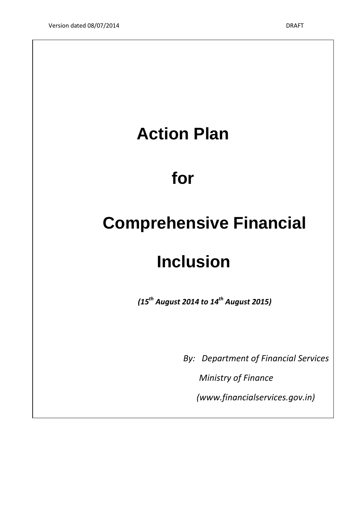## **Action Plan for Comprehensive Financial Inclusion** *(15th August 2014 to 14th August 2015)*

*By: Department of Financial Services*

 *Ministry of Finance*

 *(www.financialservices.gov.in)*